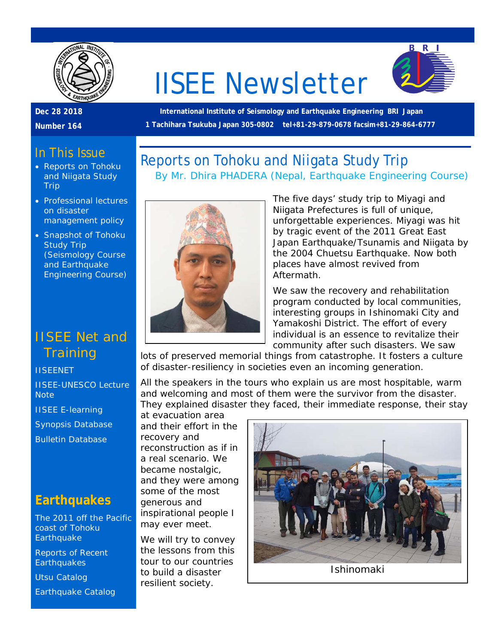

# IISEE Newsletter



#### **Dec 28 2018**

**Number 164**

**International Institute of Seismology and Earthquake Engineering BRI Japan 1 Tachihara Tsukuba Japan 305-0802 tel+81-29-879-0678 facsim+81-29-864-6777**

*By Mr. Dhira PHADERA (Nepal, Earthquake Engineering Course)*

Reports on Tohoku and Niigata Study Trip

## In This Issue

- Reports on Tohoku and Niigata Study Trip
- Professional lectures on disaster management policy
- Snapshot of Tohoku Study Trip (Seismology Course and Earthquake Engineering Course)

## IISEE Net and **Training**

#### **[IISEENET](http://iisee.kenken.go.jp/net/)**

[IISEE-UNESCO Lecture](http://iisee/lna/)  **[Note](http://iisee/lna/)** 

[IISEE E-learning](http://iisee/el/)

[Synopsis Database](http://iisee/syndb/)

[Bulletin Database](http://iisee/bltndb/)

## **Earthquakes**

[The 2011 off the Pacific](http://iisee/special2/20110311tohoku.htm)  [coast of Tohoku](http://iisee/special2/20110311tohoku.htm)  **[Earthquake](http://iisee/special2/20110311tohoku.htm)** 

[Reports of Recent](http://iisee/quakes.htm)  **[Earthquakes](http://iisee/quakes.htm)** 

[Utsu Catalog](http://iisee/utsu/index_eng.html) [Earthquake Catalog](http://iisee/eqcat/Top_page_en.htm)



The five days' study trip to Miyagi and Niigata Prefectures is full of unique, unforgettable experiences. Miyagi was hit by tragic event of the 2011 Great East Japan Earthquake/Tsunamis and Niigata by the 2004 Chuetsu Earthquake. Now both places have almost revived from Aftermath.

We saw the recovery and rehabilitation program conducted by local communities, interesting groups in Ishinomaki City and Yamakoshi District. The effort of every individual is an essence to revitalize their community after such disasters. We saw

lots of preserved memorial things from catastrophe. It fosters a culture of disaster-resiliency in societies even an incoming generation.

All the speakers in the tours who explain us are most hospitable, warm and welcoming and most of them were the survivor from the disaster. They explained disaster they faced, their immediate response, their stay

at evacuation area and their effort in the recovery and reconstruction as if in a real scenario. We became nostalgic, and they were among some of the most generous and inspirational people I may ever meet.

We will try to convey the lessons from this tour to our countries to build a disaster resilient society.

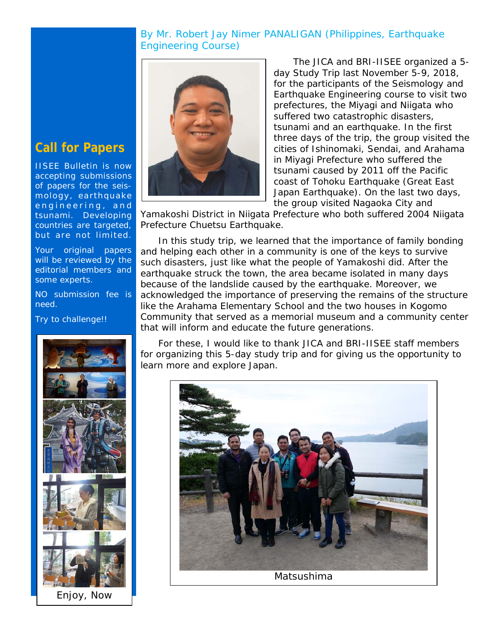#### *By Mr. Robert Jay Nimer PANALIGAN (Philippines, Earthquake Engineering Course)*



The JICA and BRI-IISEE organized a 5 day Study Trip last November 5-9, 2018, for the participants of the Seismology and Earthquake Engineering course to visit two prefectures, the Miyagi and Niigata who suffered two catastrophic disasters, tsunami and an earthquake. In the first three days of the trip, the group visited the cities of Ishinomaki, Sendai, and Arahama in Miyagi Prefecture who suffered the tsunami caused by 2011 off the Pacific coast of Tohoku Earthquake (Great East Japan Earthquake). On the last two days, the group visited Nagaoka City and

Yamakoshi District in Niigata Prefecture who both suffered 2004 Niigata Prefecture Chuetsu Earthquake.

In this study trip, we learned that the importance of family bonding and helping each other in a community is one of the keys to survive such disasters, just like what the people of Yamakoshi did. After the earthquake struck the town, the area became isolated in many days because of the landslide caused by the earthquake. Moreover, we acknowledged the importance of preserving the remains of the structure like the Arahama Elementary School and the two houses in Kogomo Community that served as a memorial museum and a community center that will inform and educate the future generations.

For these, I would like to thank JICA and BRI-IISEE staff members for organizing this 5-day study trip and for giving us the opportunity to learn more and explore Japan.



## **Call for Papers**

IISEE Bulletin is now accepting submissions of papers for the seismology, earthquake engineering, and tsunami. Developing countries are targeted, but are not limited.

Your original papers will be reviewed by the editorial members and some experts.

NO submission fee is need.

Try to challenge!!

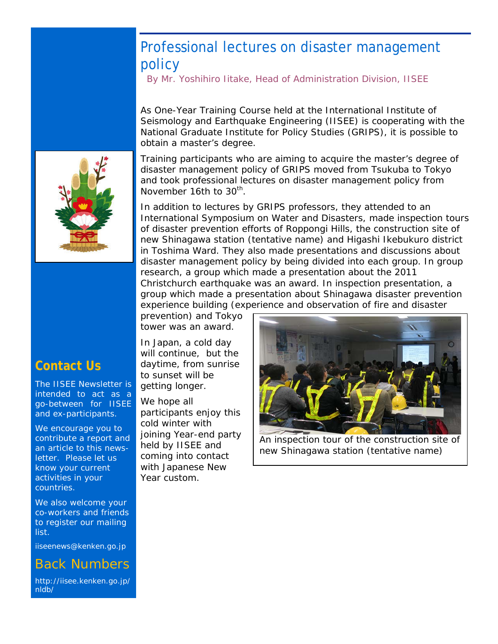## Professional lectures on disaster management policy

*By Mr. Yoshihiro Iitake, Head of Administration Division, IISEE*

As One-Year Training Course held at the International Institute of Seismology and Earthquake Engineering (IISEE) is cooperating with the National Graduate Institute for Policy Studies (GRIPS), it is possible to obtain a master's degree.

Training participants who are aiming to acquire the master's degree of disaster management policy of GRIPS moved from Tsukuba to Tokyo and took professional lectures on disaster management policy from November 16th to 30<sup>th</sup>.

In addition to lectures by GRIPS professors, they attended to an International Symposium on Water and Disasters, made inspection tours of disaster prevention efforts of Roppongi Hills, the construction site of new Shinagawa station (tentative name) and Higashi Ikebukuro district in Toshima Ward. They also made presentations and discussions about disaster management policy by being divided into each group. In group research, a group which made a presentation about the 2011 Christchurch earthquake was an award. In inspection presentation, a group which made a presentation about Shinagawa disaster prevention experience building (experience and observation of fire and disaster

prevention) and Tokyo tower was an award.

In Japan, a cold day will continue, but the daytime, from sunrise to sunset will be getting longer.

We hope all participants enjoy this cold winter with joining Year-end party held by IISEE and coming into contact with Japanese New Year custom.

An inspection tour of the construction site of new Shinagawa station (tentative name)



## **Contact Us**

The IISEE Newsletter is intended to act as a go-between for IISEE and ex-participants.

We encourage you to contribute a report and an article to this newsletter. Please let us know your current activities in your countries.

We also welcome your co-workers and friends to register our mailing list.

iiseenews@kenken.go.jp

### Back Numbers

[http://iisee.kenken.go.jp/](http://iisee.kenken.go.jp/nldb/) [nldb/](http://iisee.kenken.go.jp/nldb/)